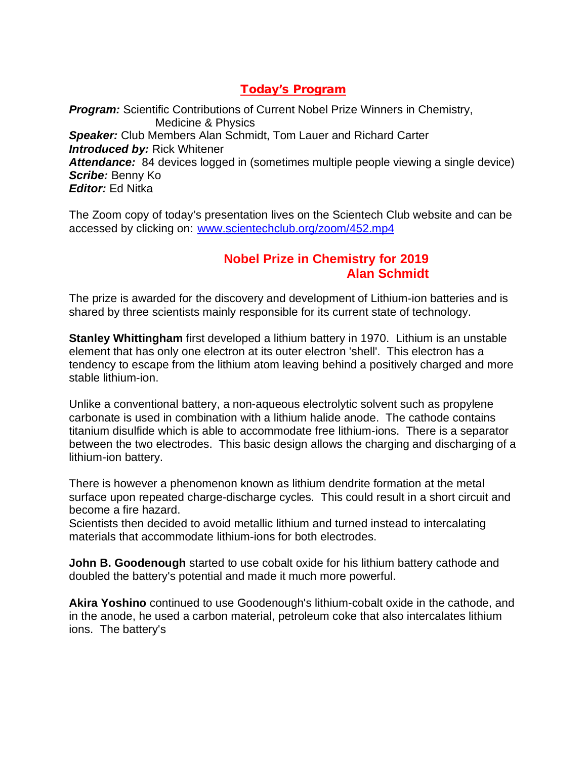### **Today's Program**

**Program:** Scientific Contributions of Current Nobel Prize Winners in Chemistry, Medicine & Physics *Speaker:* Club Members Alan Schmidt, Tom Lauer and Richard Carter *Introduced by:* Rick Whitener *Attendance:* 84 devices logged in (sometimes multiple people viewing a single device) *Scribe:* Benny Ko *Editor:* Ed Nitka

The Zoom copy of today's presentation lives on the Scientech Club website and can be accessed by clicking on: www.scientechclub.org/zoom/452.mp4

#### **Nobel Prize in Chemistry for 2019 Alan Schmidt**

The prize is awarded for the discovery and development of Lithium-ion batteries and is shared by three scientists mainly responsible for its current state of technology.

**Stanley Whittingham** first developed a lithium battery in 1970. Lithium is an unstable element that has only one electron at its outer electron 'shell'. This electron has a tendency to escape from the lithium atom leaving behind a positively charged and more stable lithium-ion.

Unlike a conventional battery, a non-aqueous electrolytic solvent such as propylene carbonate is used in combination with a lithium halide anode. The cathode contains titanium disulfide which is able to accommodate free lithium-ions. There is a separator between the two electrodes. This basic design allows the charging and discharging of a lithium-ion battery.

There is however a phenomenon known as lithium dendrite formation at the metal surface upon repeated charge-discharge cycles. This could result in a short circuit and become a fire hazard.

Scientists then decided to avoid metallic lithium and turned instead to intercalating materials that accommodate lithium-ions for both electrodes.

**John B. Goodenough** started to use cobalt oxide for his lithium battery cathode and doubled the battery's potential and made it much more powerful.

**Akira Yoshino** continued to use Goodenough's lithium-cobalt oxide in the cathode, and in the anode, he used a carbon material, petroleum coke that also intercalates lithium ions. The battery's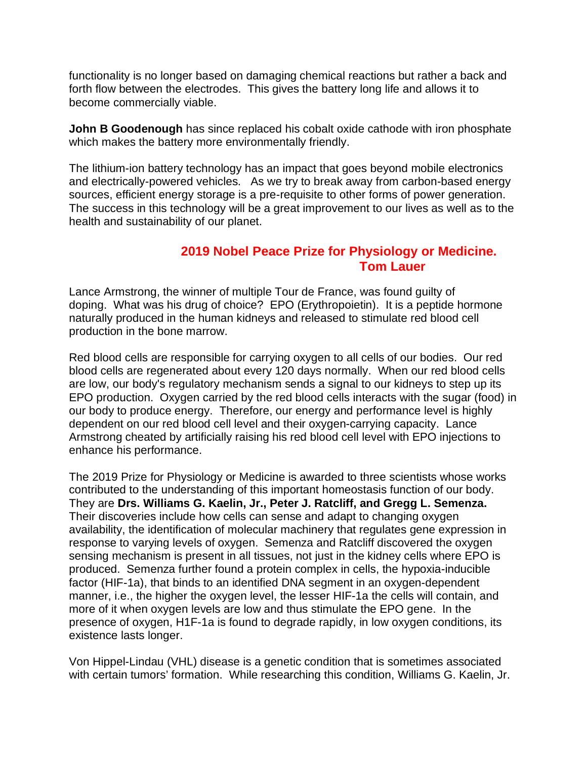functionality is no longer based on damaging chemical reactions but rather a back and forth flow between the electrodes. This gives the battery long life and allows it to become commercially viable.

**John B Goodenough** has since replaced his cobalt oxide cathode with iron phosphate which makes the battery more environmentally friendly.

The lithium-ion battery technology has an impact that goes beyond mobile electronics and electrically-powered vehicles. As we try to break away from carbon-based energy sources, efficient energy storage is a pre-requisite to other forms of power generation. The success in this technology will be a great improvement to our lives as well as to the health and sustainability of our planet.

#### **2019 Nobel Peace Prize for Physiology or Medicine. Tom Lauer**

Lance Armstrong, the winner of multiple Tour de France, was found guilty of doping. What was his drug of choice? EPO (Erythropoietin). It is a peptide hormone naturally produced in the human kidneys and released to stimulate red blood cell production in the bone marrow.

Red blood cells are responsible for carrying oxygen to all cells of our bodies. Our red blood cells are regenerated about every 120 days normally. When our red blood cells are low, our body's regulatory mechanism sends a signal to our kidneys to step up its EPO production. Oxygen carried by the red blood cells interacts with the sugar (food) in our body to produce energy. Therefore, our energy and performance level is highly dependent on our red blood cell level and their oxygen-carrying capacity. Lance Armstrong cheated by artificially raising his red blood cell level with EPO injections to enhance his performance.

The 2019 Prize for Physiology or Medicine is awarded to three scientists whose works contributed to the understanding of this important homeostasis function of our body. They are **Drs. Williams G. Kaelin, Jr., Peter J. Ratcliff, and Gregg L. Semenza.** Their discoveries include how cells can sense and adapt to changing oxygen availability, the identification of molecular machinery that regulates gene expression in response to varying levels of oxygen. Semenza and Ratcliff discovered the oxygen sensing mechanism is present in all tissues, not just in the kidney cells where EPO is produced. Semenza further found a protein complex in cells, the hypoxia-inducible factor (HIF-1a), that binds to an identified DNA segment in an oxygen-dependent manner, i.e., the higher the oxygen level, the lesser HIF-1a the cells will contain, and more of it when oxygen levels are low and thus stimulate the EPO gene. In the presence of oxygen, H1F-1a is found to degrade rapidly, in low oxygen conditions, its existence lasts longer.

Von Hippel-Lindau (VHL) disease is a genetic condition that is sometimes associated with certain tumors' formation. While researching this condition, Williams G. Kaelin, Jr.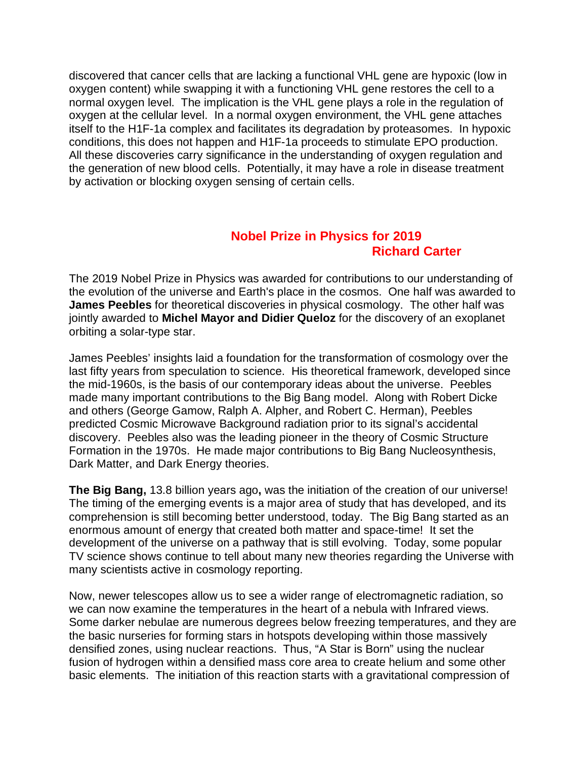discovered that cancer cells that are lacking a functional VHL gene are hypoxic (low in oxygen content) while swapping it with a functioning VHL gene restores the cell to a normal oxygen level. The implication is the VHL gene plays a role in the regulation of oxygen at the cellular level. In a normal oxygen environment, the VHL gene attaches itself to the H1F-1a complex and facilitates its degradation by proteasomes. In hypoxic conditions, this does not happen and H1F-1a proceeds to stimulate EPO production. All these discoveries carry significance in the understanding of oxygen regulation and the generation of new blood cells. Potentially, it may have a role in disease treatment by activation or blocking oxygen sensing of certain cells.

### **Nobel Prize in Physics for 2019 Richard Carter**

The 2019 Nobel Prize in Physics was awarded for contributions to our understanding of the evolution of the universe and Earth's place in the cosmos. One half was awarded to **James Peebles** for theoretical discoveries in physical cosmology. The other half was jointly awarded to **Michel Mayor and Didier Queloz** for the discovery of an exoplanet orbiting a solar-type star.

James Peebles' insights laid a foundation for the transformation of cosmology over the last fifty years from speculation to science. His theoretical framework, developed since the mid-1960s, is the basis of our contemporary ideas about the universe. Peebles made many important contributions to the Big Bang model. Along with Robert Dicke and others (George Gamow, Ralph A. Alpher, and Robert C. Herman), Peebles predicted Cosmic Microwave Background radiation prior to its signal's accidental discovery. Peebles also was the leading pioneer in the theory of Cosmic Structure Formation in the 1970s. He made major contributions to Big Bang Nucleosynthesis, Dark Matter, and Dark Energy theories.

**The Big Bang,** 13.8 billion years ago**,** was the initiation of the creation of our universe! The timing of the emerging events is a major area of study that has developed, and its comprehension is still becoming better understood, today. The Big Bang started as an enormous amount of energy that created both matter and space-time! It set the development of the universe on a pathway that is still evolving. Today, some popular TV science shows continue to tell about many new theories regarding the Universe with many scientists active in cosmology reporting.

Now, newer telescopes allow us to see a wider range of electromagnetic radiation, so we can now examine the temperatures in the heart of a nebula with Infrared views. Some darker nebulae are numerous degrees below freezing temperatures, and they are the basic nurseries for forming stars in hotspots developing within those massively densified zones, using nuclear reactions. Thus, "A Star is Born" using the nuclear fusion of hydrogen within a densified mass core area to create helium and some other basic elements. The initiation of this reaction starts with a gravitational compression of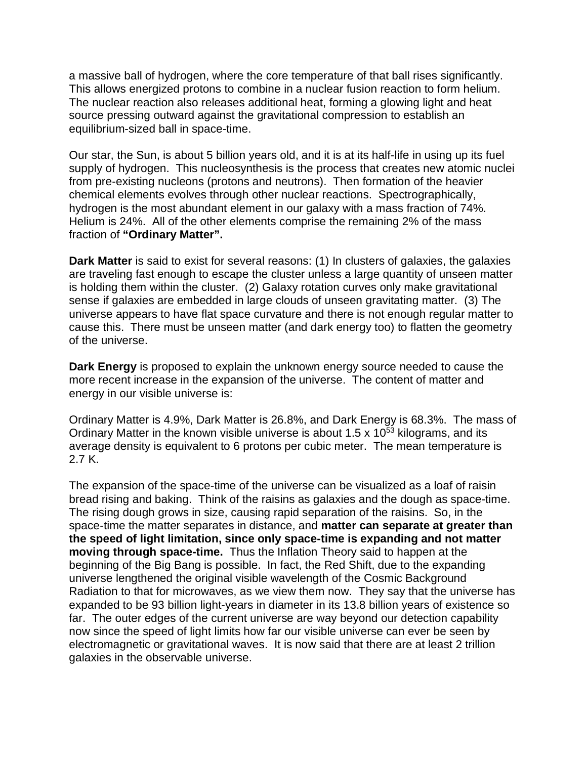a massive ball of hydrogen, where the core temperature of that ball rises significantly. This allows energized protons to combine in a nuclear fusion reaction to form helium. The nuclear reaction also releases additional heat, forming a glowing light and heat source pressing outward against the gravitational compression to establish an equilibrium-sized ball in space-time.

Our star, the Sun, is about 5 billion years old, and it is at its half-life in using up its fuel supply of hydrogen. This nucleosynthesis is the process that creates new atomic nuclei from pre-existing nucleons (protons and neutrons). Then formation of the heavier chemical elements evolves through other nuclear reactions. Spectrographically, hydrogen is the most abundant element in our galaxy with a mass fraction of 74%. Helium is 24%. All of the other elements comprise the remaining 2% of the mass fraction of **"Ordinary Matter".**

**Dark Matter** is said to exist for several reasons: (1) In clusters of galaxies, the galaxies are traveling fast enough to escape the cluster unless a large quantity of unseen matter is holding them within the cluster. (2) Galaxy rotation curves only make gravitational sense if galaxies are embedded in large clouds of unseen gravitating matter. (3) The universe appears to have flat space curvature and there is not enough regular matter to cause this. There must be unseen matter (and dark energy too) to flatten the geometry of the universe.

**Dark Energy** is proposed to explain the unknown energy source needed to cause the more recent increase in the expansion of the universe. The content of matter and energy in our visible universe is:

Ordinary Matter is 4.9%, Dark Matter is 26.8%, and Dark Energy is 68.3%. The mass of Ordinary Matter in the known visible universe is about 1.5 x  $10^{53}$  kilograms, and its average density is equivalent to 6 protons per cubic meter. The mean temperature is 2.7 K.

The expansion of the space-time of the universe can be visualized as a loaf of raisin bread rising and baking. Think of the raisins as galaxies and the dough as space-time. The rising dough grows in size, causing rapid separation of the raisins. So, in the space-time the matter separates in distance, and **matter can separate at greater than the speed of light limitation, since only space-time is expanding and not matter moving through space-time.** Thus the Inflation Theory said to happen at the beginning of the Big Bang is possible. In fact, the Red Shift, due to the expanding universe lengthened the original visible wavelength of the Cosmic Background Radiation to that for microwaves, as we view them now. They say that the universe has expanded to be 93 billion light-years in diameter in its 13.8 billion years of existence so far. The outer edges of the current universe are way beyond our detection capability now since the speed of light limits how far our visible universe can ever be seen by electromagnetic or gravitational waves. It is now said that there are at least 2 trillion galaxies in the observable universe.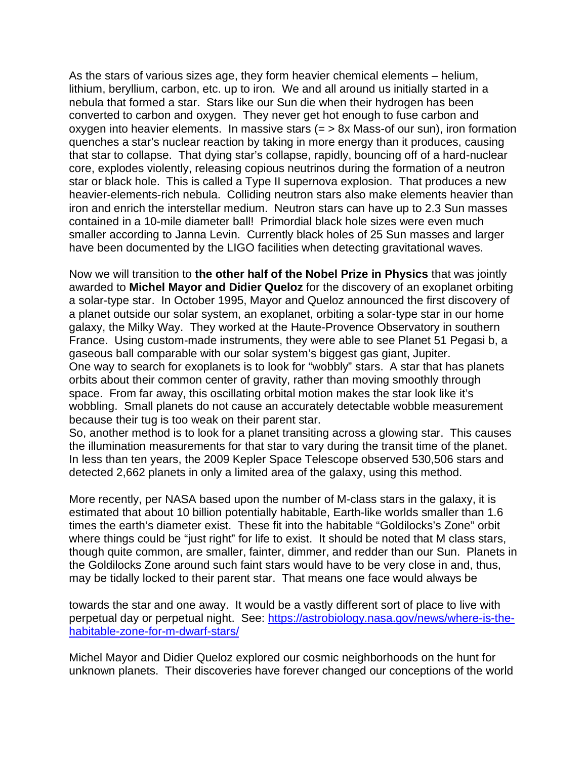As the stars of various sizes age, they form heavier chemical elements – helium, lithium, beryllium, carbon, etc. up to iron. We and all around us initially started in a nebula that formed a star. Stars like our Sun die when their hydrogen has been converted to carbon and oxygen. They never get hot enough to fuse carbon and oxygen into heavier elements. In massive stars (= > 8x Mass-of our sun), iron formation quenches a star's nuclear reaction by taking in more energy than it produces, causing that star to collapse. That dying star's collapse, rapidly, bouncing off of a hard-nuclear core, explodes violently, releasing copious neutrinos during the formation of a neutron star or black hole. This is called a Type II supernova explosion. That produces a new heavier-elements-rich nebula. Colliding neutron stars also make elements heavier than iron and enrich the interstellar medium. Neutron stars can have up to 2.3 Sun masses contained in a 10-mile diameter ball! Primordial black hole sizes were even much smaller according to Janna Levin. Currently black holes of 25 Sun masses and larger have been documented by the LIGO facilities when detecting gravitational waves.

Now we will transition to **the other half of the Nobel Prize in Physics** that was jointly awarded to **Michel Mayor and Didier Queloz** for the discovery of an exoplanet orbiting a solar-type star. In October 1995, Mayor and Queloz announced the first discovery of a planet outside our solar system, an exoplanet, orbiting a solar-type star in our home galaxy, the Milky Way. They worked at the Haute-Provence Observatory in southern France. Using custom-made instruments, they were able to see Planet 51 Pegasi b, a gaseous ball comparable with our solar system's biggest gas giant, Jupiter. One way to search for exoplanets is to look for "wobbly" stars. A star that has planets orbits about their common center of gravity, rather than moving smoothly through space. From far away, this oscillating orbital motion makes the star look like it's wobbling. Small planets do not cause an accurately detectable wobble measurement because their tug is too weak on their parent star.

So, another method is to look for a planet transiting across a glowing star. This causes the illumination measurements for that star to vary during the transit time of the planet. In less than ten years, the 2009 Kepler Space Telescope observed 530,506 stars and detected 2,662 planets in only a limited area of the galaxy, using this method.

More recently, per NASA based upon the number of M-class stars in the galaxy, it is estimated that about 10 billion potentially habitable, Earth-like worlds smaller than 1.6 times the earth's diameter exist. These fit into the habitable "Goldilocks's Zone" orbit where things could be "just right" for life to exist. It should be noted that M class stars, though quite common, are smaller, fainter, dimmer, and redder than our Sun. Planets in the Goldilocks Zone around such faint stars would have to be very close in and, thus, may be tidally locked to their parent star. That means one face would always be

towards the star and one away. It would be a vastly different sort of place to live with perpetual day or perpetual night. See: https://astrobiology.nasa.gov/news/where-is-thehabitable-zone-for-m-dwarf-stars/

Michel Mayor and Didier Queloz explored our cosmic neighborhoods on the hunt for unknown planets. Their discoveries have forever changed our conceptions of the world